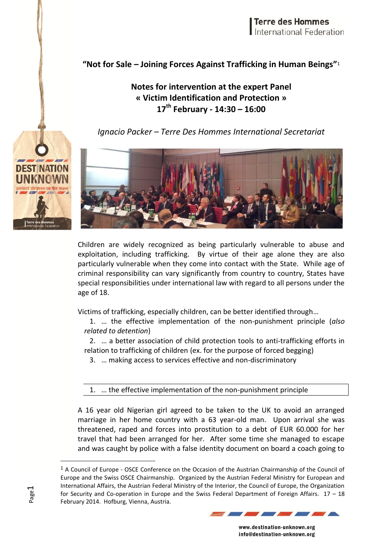## **"Not for Sale – Joining Forces Against Trafficking in Human Beings"**<sup>1</sup>

## **Notes for intervention at the expert Panel « Victim Identification and Protection » 17th February - 14:30 – 16:00**

*Ignacio Packer – Terre Des Hommes International Secretariat*



Children are widely recognized as being particularly vulnerable to abuse and exploitation, including trafficking. By virtue of their age alone they are also particularly vulnerable when they come into contact with the State. While age of criminal responsibility can vary significantly from country to country, States have special responsibilities under international law with regard to all persons under the age of 18.

Victims of trafficking, especially children, can be better identified through…

1. … the effective implementation of the non-punishment principle (*also related to detention*)

2. … a better association of child protection tools to anti-trafficking efforts in relation to trafficking of children (ex. for the purpose of forced begging)

3. … making access to services effective and non-discriminatory

1. … the effective implementation of the non-punishment principle

A 16 year old Nigerian girl agreed to be taken to the UK to avoid an arranged marriage in her home country with a 63 year-old man. Upon arrival she was threatened, raped and forces into prostitution to a debt of EUR 60.000 for her travel that had been arranged for her. After some time she managed to escape and was caught by police with a false identity document on board a coach going to

<sup>1</sup> A Council of Europe - OSCE Conference on the Occasion of the Austrian Chairmanship of the Council of Europe and the Swiss OSCE Chairmanship. Organized by the Austrian Federal Ministry for European and International Affairs, the Austrian Federal Ministry of the Interior, the Council of Europe, the Organization for Security and Co-operation in Europe and the Swiss Federal Department of Foreign Affairs. 17 – 18 February 2014. Hofburg, Vienna, Austria.



www.destination-unknown.org info@destination-unknown.org



 $\overline{a}$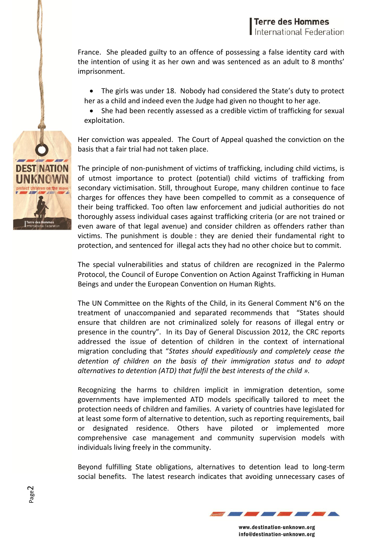France. She pleaded guilty to an offence of possessing a false identity card with the intention of using it as her own and was sentenced as an adult to 8 months' imprisonment.

- The girls was under 18. Nobody had considered the State's duty to protect her as a child and indeed even the Judge had given no thought to her age.
- She had been recently assessed as a credible victim of trafficking for sexual exploitation.

Her conviction was appealed. The Court of Appeal quashed the conviction on the basis that a fair trial had not taken place.

The principle of non-punishment of victims of trafficking, including child victims, is of utmost importance to protect (potential) child victims of trafficking from secondary victimisation. Still, throughout Europe, many children continue to face charges for offences they have been compelled to commit as a consequence of their being trafficked. Too often law enforcement and judicial authorities do not thoroughly assess individual cases against trafficking criteria (or are not trained or even aware of that legal avenue) and consider children as offenders rather than victims. The punishment is double : they are denied their fundamental right to protection, and sentenced for illegal acts they had no other choice but to commit.

The special vulnerabilities and status of children are recognized in the Palermo Protocol, the Council of Europe Convention on Action Against Trafficking in Human Beings and under the European Convention on Human Rights.

The UN Committee on the Rights of the Child, in its General Comment N°6 on the treatment of unaccompanied and separated recommends that "States should ensure that children are not criminalized solely for reasons of illegal entry or presence in the country". In its Day of General Discussion 2012, the CRC reports addressed the issue of detention of children in the context of international migration concluding that "*States should expeditiously and completely cease the detention of children on the basis of their immigration status and to adopt alternatives to detention (ATD) that fulfil the best interests of the child ».*

Recognizing the harms to children implicit in immigration detention, some governments have implemented ATD models specifically tailored to meet the protection needs of children and families. A variety of countries have legislated for at least some form of alternative to detention, such as reporting requirements, bail or designated residence. Others have piloted or implemented more comprehensive case management and community supervision models with individuals living freely in the community.

Beyond fulfilling State obligations, alternatives to detention lead to long-term social benefits. The latest research indicates that avoiding unnecessary cases of



www.destination-unknown.org info@destination-unknown.org

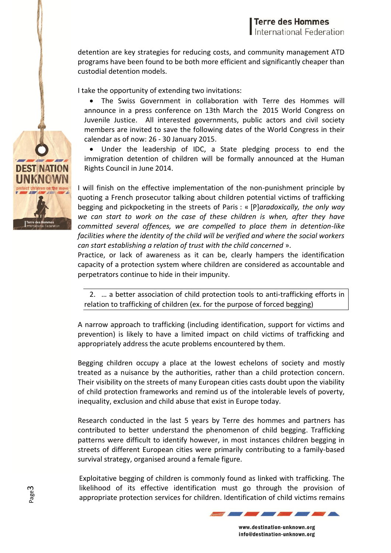detention are key strategies for reducing costs, and community management ATD programs have been found to be both more efficient and significantly cheaper than custodial detention models.

I take the opportunity of extending two invitations:

 The Swiss Government in collaboration with Terre des Hommes will announce in a press conference on 13th March the 2015 World Congress on Juvenile Justice. All interested governments, public actors and civil society members are invited to save the following dates of the World Congress in their calendar as of now: 26 - 30 January 2015.

 Under the leadership of IDC, a State pledging process to end the immigration detention of children will be formally announced at the Human Rights Council in June 2014.

I will finish on the effective implementation of the non-punishment principle by quoting a French prosecutor talking about children potential victims of trafficking begging and pickpocketing in the streets of Paris : « [P]*aradoxically, the only way we can start to work on the case of these children is when, after they have committed several offences, we are compelled to place them in detention-like facilities where the identity of the child will be verified and where the social workers can start establishing a relation of trust with the child concerned* ».

Practice, or lack of awareness as it can be, clearly hampers the identification capacity of a protection system where children are considered as accountable and perpetrators continue to hide in their impunity.

2. … a better association of child protection tools to anti-trafficking efforts in relation to trafficking of children (ex. for the purpose of forced begging)

A narrow approach to trafficking (including identification, support for victims and prevention) is likely to have a limited impact on child victims of trafficking and appropriately address the acute problems encountered by them.

Begging children occupy a place at the lowest echelons of society and mostly treated as a nuisance by the authorities, rather than a child protection concern. Their visibility on the streets of many European cities casts doubt upon the viability of child protection frameworks and remind us of the intolerable levels of poverty, inequality, exclusion and child abuse that exist in Europe today.

Research conducted in the last 5 years by Terre des hommes and partners has contributed to better understand the phenomenon of child begging. Trafficking patterns were difficult to identify however, in most instances children begging in streets of different European cities were primarily contributing to a family-based survival strategy, organised around a female figure.

Exploitative begging of children is commonly found as linked with trafficking. The likelihood of its effective identification must go through the provision of appropriate protection services for children. Identification of child victims remains



www.destination-unknown.org info@destination-unknown.org



Page 3